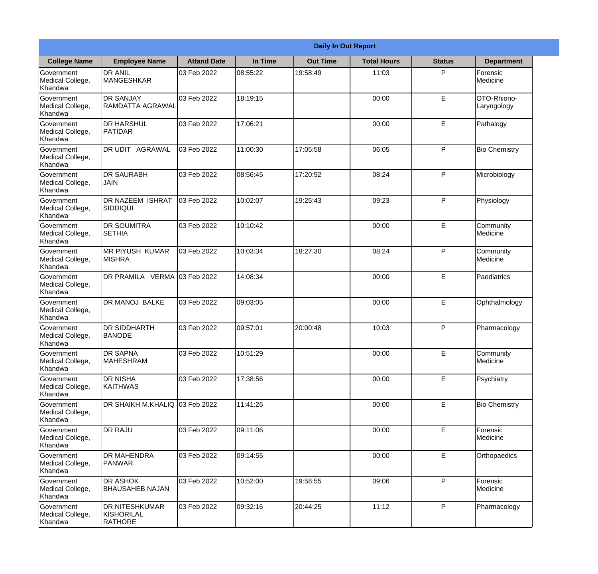|                                                  |                                                       |                    |          | <b>Daily In Out Report</b> |                    |               |                            |
|--------------------------------------------------|-------------------------------------------------------|--------------------|----------|----------------------------|--------------------|---------------|----------------------------|
| <b>College Name</b>                              | <b>Employee Name</b>                                  | <b>Attand Date</b> | In Time  | <b>Out Time</b>            | <b>Total Hours</b> | <b>Status</b> | <b>Department</b>          |
| Government<br>Medical College,<br>Khandwa        | <b>DR ANIL</b><br><b>MANGESHKAR</b>                   | 03 Feb 2022        | 08:55:22 | 19:58:49                   | 11:03              | P             | Forensic<br>Medicine       |
| Government<br>Medical College,<br>Khandwa        | <b>DR SANJAY</b><br><b>RAMDATTA AGRAWAL</b>           | 03 Feb 2022        | 18:19:15 |                            | 00:00              | E             | OTO-Rhiono-<br>Laryngology |
| <b>Government</b><br>Medical College,<br>Khandwa | <b>DR HARSHUL</b><br><b>PATIDAR</b>                   | 03 Feb 2022        | 17:06:21 |                            | 00:00              | E             | Pathalogy                  |
| Government<br>Medical College,<br>Khandwa        | DR UDIT AGRAWAL                                       | 03 Feb 2022        | 11:00:30 | 17:05:58                   | 06:05              | P             | <b>Bio Chemistry</b>       |
| <b>Government</b><br>Medical College,<br>Khandwa | <b>DR SAURABH</b><br><b>JAIN</b>                      | 03 Feb 2022        | 08:56:45 | 17:20:52                   | 08:24              | P             | Microbiology               |
| Government<br>Medical College,<br>Khandwa        | DR NAZEEM ISHRAT<br><b>SIDDIQUI</b>                   | 03 Feb 2022        | 10:02:07 | 19:25:43                   | 09:23              | P             | Physiology                 |
| Government<br>Medical College,<br>Khandwa        | <b>DR SOUMITRA</b><br><b>SETHIA</b>                   | 03 Feb 2022        | 10:10:42 |                            | 00:00              | E             | Community<br>Medicine      |
| Government<br>Medical College,<br>Khandwa        | <b>MR PIYUSH KUMAR</b><br><b>MISHRA</b>               | 03 Feb 2022        | 10:03:34 | 18:27:30                   | 08:24              | P             | Community<br>Medicine      |
| Government<br>Medical College,<br>Khandwa        | DR PRAMILA VERMA 03 Feb 2022                          |                    | 14:08:34 |                            | 00:00              | E             | Paediatrics                |
| Government<br>Medical College,<br>Khandwa        | <b>DR MANOJ BALKE</b>                                 | 03 Feb 2022        | 09:03:05 |                            | 00:00              | E             | Ophthalmology              |
| Government<br>Medical College,<br>Khandwa        | <b>DR SIDDHARTH</b><br><b>BANODE</b>                  | 03 Feb 2022        | 09:57:01 | 20:00:48                   | 10:03              | $\mathsf{P}$  | Pharmacology               |
| Government<br>Medical College,<br>Khandwa        | <b>DR SAPNA</b><br><b>MAHESHRAM</b>                   | 03 Feb 2022        | 10:51:29 |                            | 00:00              | E             | Community<br>Medicine      |
| Government<br>Medical College,<br>Khandwa        | <b>DR NISHA</b><br><b>KAITHWAS</b>                    | 03 Feb 2022        | 17:38:56 |                            | 00:00              | E             | Psychiatry                 |
| Government<br>Medical College,<br>Khandwa        | DR SHAIKH M.KHALIQ                                    | 03 Feb 2022        | 11:41:26 |                            | 00:00              | E             | <b>Bio Chemistry</b>       |
| <b>Government</b><br>Medical College,<br>Khandwa | <b>DR RAJU</b>                                        | 03 Feb 2022        | 09:11:06 |                            | 00:00              | E             | Forensic<br>Medicine       |
| Government<br>Medical College,<br>Khandwa        | <b>DR MAHENDRA</b><br><b>PANWAR</b>                   | 03 Feb 2022        | 09:14:55 |                            | 00:00              | E             | Orthopaedics               |
| Government<br>Medical College,<br>Khandwa        | <b>DR ASHOK</b><br><b>BHAUSAHEB NAJAN</b>             | 03 Feb 2022        | 10:52:00 | 19:58:55                   | 09:06              | P             | Forensic<br>Medicine       |
| Government<br>Medical College,<br>Khandwa        | <b>DR NITESHKUMAR</b><br>KISHORILAL<br><b>RATHORE</b> | 03 Feb 2022        | 09:32:16 | 20:44:25                   | 11:12              | P             | Pharmacology               |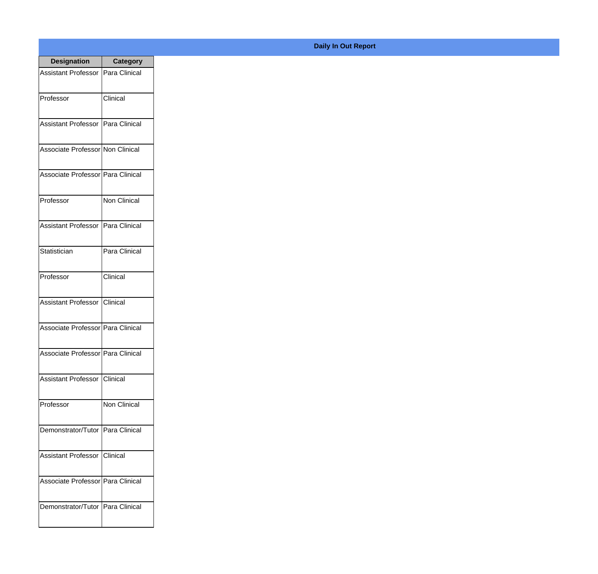| <b>Designation</b>                  | <b>Category</b>   |
|-------------------------------------|-------------------|
| Assistant Professor   Para Clinical |                   |
| Professor                           | Clinical          |
| Assistant Professor   Para Clinical |                   |
| Associate Professor Non Clinical    |                   |
| Associate Professor Para Clinical   |                   |
| Professor                           | Non Clinical      |
| Assistant Professor   Para Clinical |                   |
| Statistician                        | Para Clinical     |
| Professor                           | Clinical          |
| <b>Assistant Professor</b>          | <b>I</b> Clinical |
| Associate Professor   Para Clinical |                   |
| Associate Professor   Para Clinical |                   |
| Assistant Professor Clinical        |                   |
| Professor                           | Non Clinical      |
| Demonstrator/Tutor   Para Clinical  |                   |
| <b>Assistant Professor</b>          | Clinical          |
| Associate Professor   Para Clinical |                   |
| Demonstrator/Tutor   Para Clinical  |                   |

## **Daily In Out Report**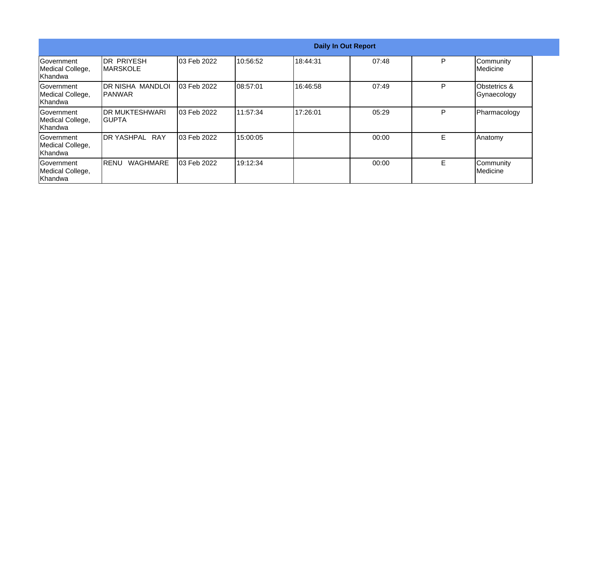|                                                  |                                 |                    |           |          | <b>Daily In Out Report</b> |    |                                        |
|--------------------------------------------------|---------------------------------|--------------------|-----------|----------|----------------------------|----|----------------------------------------|
| Government<br>Medical College,<br>Khandwa        | IDR PRIYESH<br><b>IMARSKOLE</b> | 03 Feb 2022        | 10:56:52  | 18:44:31 | 07:48                      | P  | Community<br>Medicine                  |
| Government<br>Medical College,<br>Khandwa        | DR NISHA MANDLOI<br>IPANWAR     | 03 Feb 2022        | 08:57:01  | 16:46:58 | 07:49                      | P  | <b>Obstetrics &amp;</b><br>Gynaecology |
| Government<br>Medical College,<br><b>Khandwa</b> | IDR MUKTESHWARI<br>IGUPTA       | <b>03 Feb 2022</b> | 111:57:34 | 17:26:01 | 05:29                      | P  | Pharmacology                           |
| <b>Government</b><br>Medical College,<br>Khandwa | DR YASHPAL RAY                  | 03 Feb 2022        | 15:00:05  |          | 00:00                      | Е  | Anatomy                                |
| Government<br>Medical College,<br>Khandwa        | <b>WAGHMARE</b><br>IRENU        | 03 Feb 2022        | 19:12:34  |          | 00:00                      | E. | Community<br>Medicine                  |